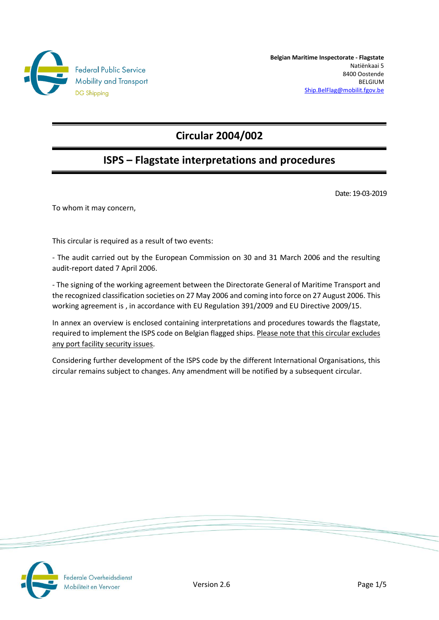

**Belgian Maritime Inspectorate - Flagstate** Natiënkaai 5 8400 Oostende BELGIUM [Ship.BelFlag@mobilit.fgov.be](mailto:Ship.BelFlag@mobilit.fgov.be)

# **Circular 2004/002**

# **ISPS – Flagstate interpretations and procedures**

Date: 19-03-2019

To whom it may concern,

This circular is required as a result of two events:

- The audit carried out by the European Commission on 30 and 31 March 2006 and the resulting audit-report dated 7 April 2006.

- The signing of the working agreement between the Directorate General of Maritime Transport and the recognized classification societies on 27 May 2006 and coming into force on 27 August 2006. This working agreement is , in accordance with EU Regulation 391/2009 and EU Directive 2009/15.

In annex an overview is enclosed containing interpretations and procedures towards the flagstate, required to implement the ISPS code on Belgian flagged ships. Please note that this circular excludes any port facility security issues.

Considering further development of the ISPS code by the different International Organisations, this circular remains subject to changes. Any amendment will be notified by a subsequent circular.



Federale Overheidsdienst Nobiliteit en Vervoer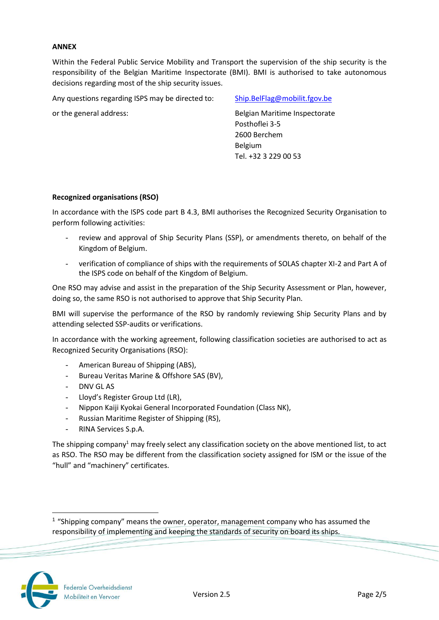### **ANNEX**

Within the Federal Public Service Mobility and Transport the supervision of the ship security is the responsibility of the Belgian Maritime Inspectorate (BMI). BMI is authorised to take autonomous decisions regarding most of the ship security issues.

Any questions regarding ISPS may be directed to: Ship.BelFlag@mobilit.fgov.be

or the general address: Belgian Maritime Inspectorate Posthoflei 3-5 2600 Berchem Belgium Tel. +32 3 229 00 53

## **Recognized organisations (RSO)**

In accordance with the ISPS code part B 4.3, BMI authorises the Recognized Security Organisation to perform following activities:

- review and approval of Ship Security Plans (SSP), or amendments thereto, on behalf of the Kingdom of Belgium.
- verification of compliance of ships with the requirements of SOLAS chapter XI-2 and Part A of the ISPS code on behalf of the Kingdom of Belgium.

One RSO may advise and assist in the preparation of the Ship Security Assessment or Plan, however, doing so, the same RSO is not authorised to approve that Ship Security Plan.

BMI will supervise the performance of the RSO by randomly reviewing Ship Security Plans and by attending selected SSP-audits or verifications.

In accordance with the working agreement, following classification societies are authorised to act as Recognized Security Organisations (RSO):

- American Bureau of Shipping (ABS),
- Bureau Veritas Marine & Offshore SAS (BV),
- DNV GL AS
- Lloyd's Register Group Ltd (LR),
- Nippon Kaiji Kyokai General Incorporated Foundation (Class NK),
- Russian Maritime Register of Shipping (RS),
- RINA Services S.p.A.

The shipping company<sup>1</sup> may freely select any classification society on the above mentioned list, to act as RSO. The RSO may be different from the classification society assigned for ISM or the issue of the "hull" and "machinery" certificates.



l

<sup>&</sup>lt;sup>1</sup> "Shipping company" means the owner, operator, management company who has assumed the responsibility of implementing and keeping the standards of security on board its ships.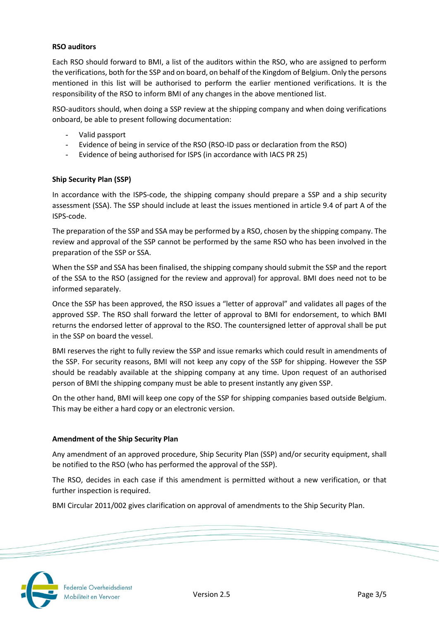## **RSO auditors**

Each RSO should forward to BMI, a list of the auditors within the RSO, who are assigned to perform the verifications, both for the SSP and on board, on behalf of the Kingdom of Belgium. Only the persons mentioned in this list will be authorised to perform the earlier mentioned verifications. It is the responsibility of the RSO to inform BMI of any changes in the above mentioned list.

RSO-auditors should, when doing a SSP review at the shipping company and when doing verifications onboard, be able to present following documentation:

- Valid passport
- Evidence of being in service of the RSO (RSO-ID pass or declaration from the RSO)
- Evidence of being authorised for ISPS (in accordance with IACS PR 25)

## **Ship Security Plan (SSP)**

In accordance with the ISPS-code, the shipping company should prepare a SSP and a ship security assessment (SSA). The SSP should include at least the issues mentioned in article 9.4 of part A of the ISPS-code.

The preparation of the SSP and SSA may be performed by a RSO, chosen by the shipping company. The review and approval of the SSP cannot be performed by the same RSO who has been involved in the preparation of the SSP or SSA.

When the SSP and SSA has been finalised, the shipping company should submit the SSP and the report of the SSA to the RSO (assigned for the review and approval) for approval. BMI does need not to be informed separately.

Once the SSP has been approved, the RSO issues a "letter of approval" and validates all pages of the approved SSP. The RSO shall forward the letter of approval to BMI for endorsement, to which BMI returns the endorsed letter of approval to the RSO. The countersigned letter of approval shall be put in the SSP on board the vessel.

BMI reserves the right to fully review the SSP and issue remarks which could result in amendments of the SSP. For security reasons, BMI will not keep any copy of the SSP for shipping. However the SSP should be readably available at the shipping company at any time. Upon request of an authorised person of BMI the shipping company must be able to present instantly any given SSP.

On the other hand, BMI will keep one copy of the SSP for shipping companies based outside Belgium. This may be either a hard copy or an electronic version.

### **Amendment of the Ship Security Plan**

Any amendment of an approved procedure, Ship Security Plan (SSP) and/or security equipment, shall be notified to the RSO (who has performed the approval of the SSP).

The RSO, decides in each case if this amendment is permitted without a new verification, or that further inspection is required.

BMI Circular 2011/002 gives clarification on approval of amendments to the Ship Security Plan.



Federale Overheidsdienst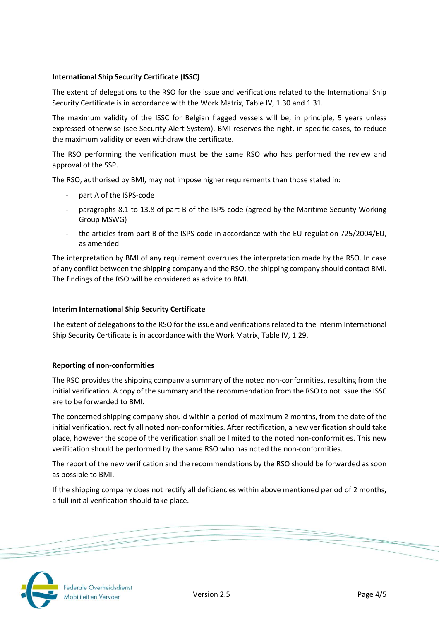# **International Ship Security Certificate (ISSC)**

The extent of delegations to the RSO for the issue and verifications related to the International Ship Security Certificate is in accordance with the Work Matrix, Table IV, 1.30 and 1.31.

The maximum validity of the ISSC for Belgian flagged vessels will be, in principle, 5 years unless expressed otherwise (see Security Alert System). BMI reserves the right, in specific cases, to reduce the maximum validity or even withdraw the certificate.

# The RSO performing the verification must be the same RSO who has performed the review and approval of the SSP.

The RSO, authorised by BMI, may not impose higher requirements than those stated in:

- part A of the ISPS-code
- paragraphs 8.1 to 13.8 of part B of the ISPS-code (agreed by the Maritime Security Working Group MSWG)
- the articles from part B of the ISPS-code in accordance with the EU-regulation 725/2004/EU, as amended.

The interpretation by BMI of any requirement overrules the interpretation made by the RSO. In case of any conflict between the shipping company and the RSO, the shipping company should contact BMI. The findings of the RSO will be considered as advice to BMI.

# **Interim International Ship Security Certificate**

The extent of delegations to the RSO for the issue and verifications related to the Interim International Ship Security Certificate is in accordance with the Work Matrix, Table IV, 1.29.

# **Reporting of non-conformities**

The RSO provides the shipping company a summary of the noted non-conformities, resulting from the initial verification. A copy of the summary and the recommendation from the RSO to not issue the ISSC are to be forwarded to BMI.

The concerned shipping company should within a period of maximum 2 months, from the date of the initial verification, rectify all noted non-conformities. After rectification, a new verification should take place, however the scope of the verification shall be limited to the noted non-conformities. This new verification should be performed by the same RSO who has noted the non-conformities.

The report of the new verification and the recommendations by the RSO should be forwarded as soon as possible to BMI.

If the shipping company does not rectify all deficiencies within above mentioned period of 2 months, a full initial verification should take place.



Federale Overheidsdienst